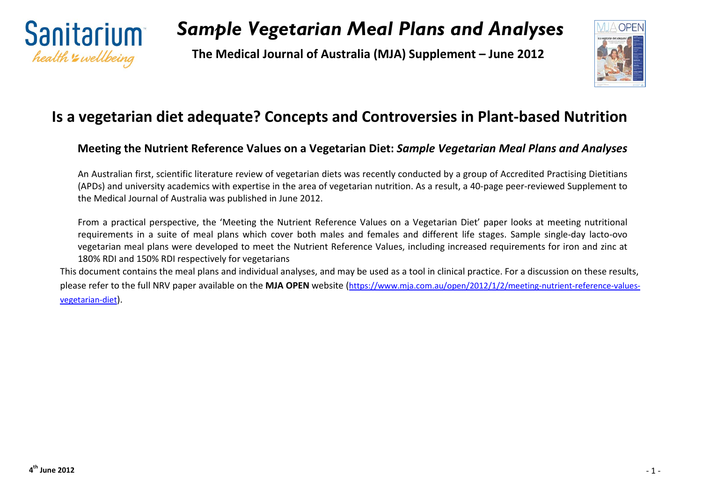

**The Medical Journal of Australia (MJA) Supplement – June 2012**



#### **Is a vegetarian diet adequate? Concepts and Controversies in Plant-based Nutrition**

#### **Meeting the Nutrient Reference Values on a Vegetarian Diet:** *Sample Vegetarian Meal Plans and Analyses*

An Australian first, scientific literature review of vegetarian diets was recently conducted by a group of Accredited Practising Dietitians (APDs) and university academics with expertise in the area of vegetarian nutrition. As a result, a 40-page peer-reviewed Supplement to the Medical Journal of Australia was published in June 2012.

From a practical perspective, the 'Meeting the Nutrient Reference Values on a Vegetarian Diet' paper looks at meeting nutritional requirements in a suite of meal plans which cover both males and females and different life stages. Sample single-day lacto-ovo vegetarian meal plans were developed to meet the Nutrient Reference Values, including increased requirements for iron and zinc at 180% RDI and 150% RDI respectively for vegetarians

This document contains the meal plans and individual analyses, and may be used as a tool in clinical practice. For a discussion on these results, please refer to the full NRV paper available on the **MJA OPEN** website [\(https://www.mja.com.au/open/2012/1/2/meeting-nutrient-reference-values](https://www.mja.com.au/open/2012/1/2/meeting-nutrient-reference-values-vegetarian-diet)[vegetarian-diet\)](https://www.mja.com.au/open/2012/1/2/meeting-nutrient-reference-values-vegetarian-diet).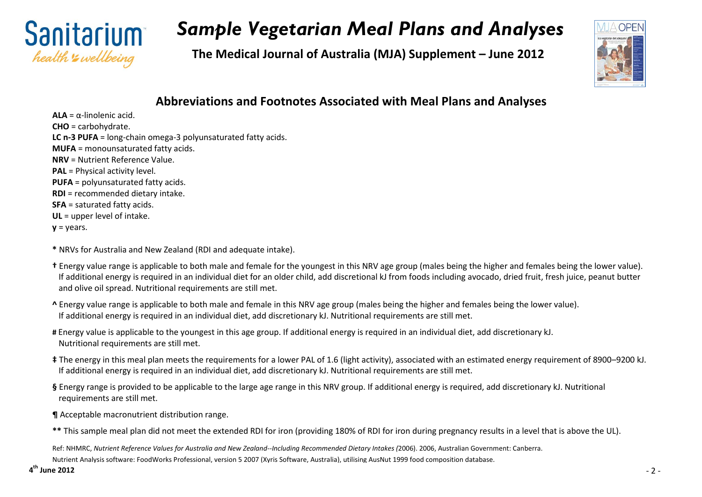

**The Medical Journal of Australia (MJA) Supplement – June 2012**



#### **Abbreviations and Footnotes Associated with Meal Plans and Analyses**

**ALA** = α-linolenic acid. **CHO** = carbohydrate. **LC n-3 PUFA** = long-chain omega-3 polyunsaturated fatty acids. **MUFA** = monounsaturated fatty acids. **NRV** = Nutrient Reference Value. **PAL** = Physical activity level. **PUFA** = polyunsaturated fatty acids. **RDI** = recommended dietary intake. **SFA** = saturated fatty acids. **UL** = upper level of intake.

 $y = years$ .

**\*** NRVs for Australia and New Zealand (RDI and adequate intake).

- **†** Energy value range is applicable to both male and female for the youngest in this NRV age group (males being the higher and females being the lower value). If additional energy is required in an individual diet for an older child, add discretional kJ from foods including avocado, dried fruit, fresh juice, peanut butter and olive oil spread. Nutritional requirements are still met.
- **^** Energy value range is applicable to both male and female in this NRV age group (males being the higher and females being the lower value). If additional energy is required in an individual diet, add discretionary kJ. Nutritional requirements are still met.
- **#** Energy value is applicable to the youngest in this age group. If additional energy is required in an individual diet, add discretionary kJ. Nutritional requirements are still met.
- **‡** The energy in this meal plan meets the requirements for a lower PAL of 1.6 (light activity), associated with an estimated energy requirement of 8900–9200 kJ. If additional energy is required in an individual diet, add discretionary kJ. Nutritional requirements are still met.

**§** Energy range is provided to be applicable to the large age range in this NRV group. If additional energy is required, add discretionary kJ. Nutritional requirements are still met.

- **¶** Acceptable macronutrient distribution range.
- **\*\*** This sample meal plan did not meet the extended RDI for iron (providing 180% of RDI for iron during pregnancy results in a level that is above the UL).

Ref: NHMRC, *Nutrient Reference Values for Australia and New Zealand--Including Recommended Dietary Intakes (*2006). 2006, Australian Government: Canberra. Nutrient Analysis software: FoodWorks Professional, version 5 2007 (Xyris Software, Australia), utilising AusNut 1999 food composition database.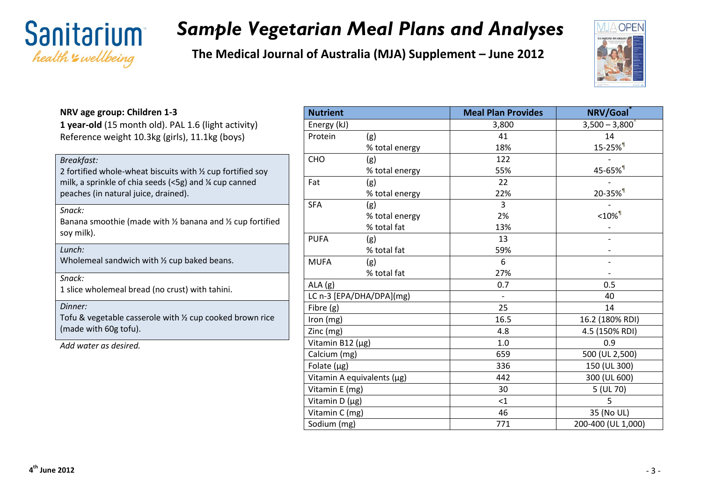

**The Medical Journal of Australia (MJA) Supplement – June 2012**



#### **NRV age group: Children 1-3 1 year-old** (15 month old). PAL 1.6 (light activity) Reference weight 10.3kg (girls), 11.1kg (boys) *Breakfast:* 2 fortified whole-wheat biscuits with ½ cup fortified soy milk, a sprinkle of chia seeds (<5g) and ¼ cup canned peaches (in natural juice, drained). *Snack:* Banana smoothie (made with ½ banana and ½ cup fortified soy milk). *Lunch:* Wholemeal sandwich with <sup>1/2</sup> cup baked beans. *Snack:* 1 slice wholemeal bread (no crust) with tahini. *Dinner:* Tofu & vegetable casserole with ½ cup cooked brown rice (made with 60g tofu). *Add water as desired.*

| <b>Nutrient</b>  |                            | <b>Meal Plan Provides</b> | NRV/Goal                          |
|------------------|----------------------------|---------------------------|-----------------------------------|
| Energy (kJ)      |                            | 3,800                     | $3,500 - 3,800^{\circ}$           |
| Protein          | (g)                        | 41                        | 14                                |
|                  | % total energy             | 18%                       | 15-25% <sup>1</sup>               |
| CHO              | (g)                        | 122                       |                                   |
|                  | % total energy             | 55%                       | 45-65% <sup>1</sup>               |
| Fat              | (g)                        | 22                        |                                   |
|                  | % total energy             | 22%                       | 20-35% <sup>1</sup>               |
| <b>SFA</b>       | (g)                        | $\overline{3}$            |                                   |
|                  | % total energy             | 2%                        | $<$ 10% $^{\rm{\textregistered}}$ |
|                  | % total fat                | 13%                       |                                   |
| <b>PUFA</b>      | (g)                        | 13                        |                                   |
|                  | % total fat                | 59%                       |                                   |
| <b>MUFA</b>      | (g)                        | 6                         |                                   |
|                  | % total fat                | 27%                       |                                   |
| ALA(g)           |                            | 0.7                       | 0.5                               |
|                  | LC n-3 [EPA/DHA/DPA](mg)   |                           | 40                                |
| Fibre (g)        |                            | 25                        | 14                                |
| Iron (mg)        |                            | 16.5                      | 16.2 (180% RDI)                   |
| Zinc (mg)        |                            | 4.8                       | 4.5 (150% RDI)                    |
| Vitamin B12 (µg) |                            | 1.0                       | 0.9                               |
| Calcium (mg)     |                            | 659                       | 500 (UL 2,500)                    |
| Folate $(\mu g)$ |                            | 336                       | 150 (UL 300)                      |
|                  | Vitamin A equivalents (µg) | 442                       | 300 (UL 600)                      |
| Vitamin E (mg)   |                            | 30                        | 5 (UL 70)                         |
| Vitamin D (µg)   |                            | $<$ 1                     | 5                                 |
| Vitamin C (mg)   |                            | 46                        | 35 (No UL)                        |
| Sodium (mg)      |                            | 771                       | 200-400 (UL 1,000)                |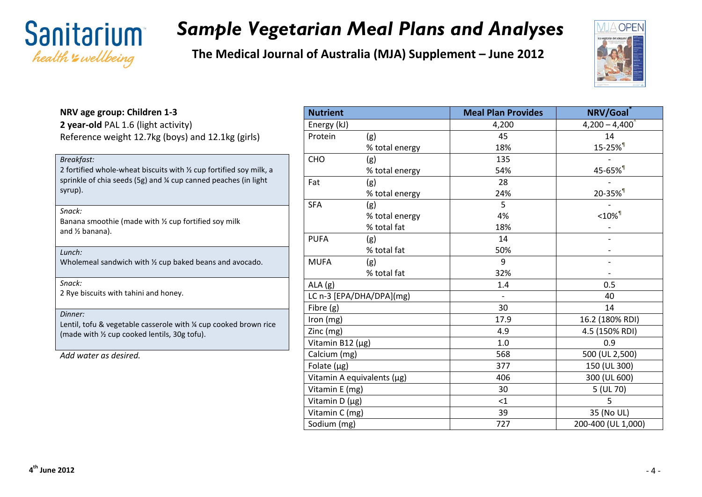

**The Medical Journal of Australia (MJA) Supplement – June 2012**



#### **NRV age group: Children 1-3 2 year-old** PAL 1.6 (light activity) Reference weight 12.7kg (boys) and 12.1kg (girls)

| Breakfast:<br>2 fortified whole-wheat biscuits with $\frac{1}{2}$ cup fortified soy milk, a<br>sprinkle of chia seeds (5g) and ¼ cup canned peaches (in light<br>syrup). |
|--------------------------------------------------------------------------------------------------------------------------------------------------------------------------|
| Snack:<br>Banana smoothie (made with $\frac{1}{2}$ cup fortified soy milk<br>and $\frac{1}{2}$ banana).                                                                  |
| Lunch:<br>Wholemeal sandwich with $\frac{1}{2}$ cup baked beans and avocado.                                                                                             |
| Snack:<br>2 Rye biscuits with tahini and honey.                                                                                                                          |
| Dinner:<br>Lentil, tofu & vegetable casserole with $\frac{1}{2}$ cup cooked brown rice<br>(made with $\frac{1}{2}$ cup cooked lentils, 30g tofu).                        |
| Add water as desired.                                                                                                                                                    |

| <b>Nutrient</b>  |                            | <b>Meal Plan Provides</b> | NRV/Goal                |
|------------------|----------------------------|---------------------------|-------------------------|
| Energy (kJ)      |                            | 4,200                     | $4,200 - 4,400^{\circ}$ |
| Protein          | (g)                        | 45                        | 14                      |
|                  | % total energy             | 18%                       | 15-25% <sup>1</sup>     |
| <b>CHO</b>       | (g)                        | 135                       |                         |
|                  | % total energy             | 54%                       | 45-65% <sup>1</sup>     |
| Fat              | (g)                        | 28                        |                         |
|                  | % total energy             | 24%                       | 20-35% <sup>1</sup>     |
| <b>SFA</b>       | (g)                        | 5                         |                         |
|                  | % total energy             | 4%                        | $< 10\%$ <sup>1</sup>   |
|                  | % total fat                | 18%                       |                         |
| <b>PUFA</b>      | (g)                        | 14                        |                         |
|                  | % total fat                | 50%                       |                         |
| <b>MUFA</b>      | (g)                        | 9                         |                         |
|                  | % total fat                | 32%                       |                         |
| ALA(g)           |                            | 1.4                       | 0.5                     |
|                  | LC n-3 [EPA/DHA/DPA](mg)   |                           | 40                      |
| Fibre (g)        |                            | 30                        | 14                      |
| Iron (mg)        |                            | 17.9                      | 16.2 (180% RDI)         |
| Zinc (mg)        |                            | 4.9                       | 4.5 (150% RDI)          |
| Vitamin B12 (µg) |                            | 1.0                       | 0.9                     |
| Calcium (mg)     |                            | 568                       | 500 (UL 2,500)          |
| Folate $(\mu g)$ |                            | 377                       | 150 (UL 300)            |
|                  | Vitamin A equivalents (µg) | 406                       | 300 (UL 600)            |
| Vitamin E (mg)   |                            | 30                        | 5 (UL 70)               |
| Vitamin D (µg)   |                            | $<$ 1                     | 5                       |
| Vitamin C (mg)   |                            | 39                        | 35 (No UL)              |
| Sodium (mg)      |                            | 727                       | 200-400 (UL 1,000)      |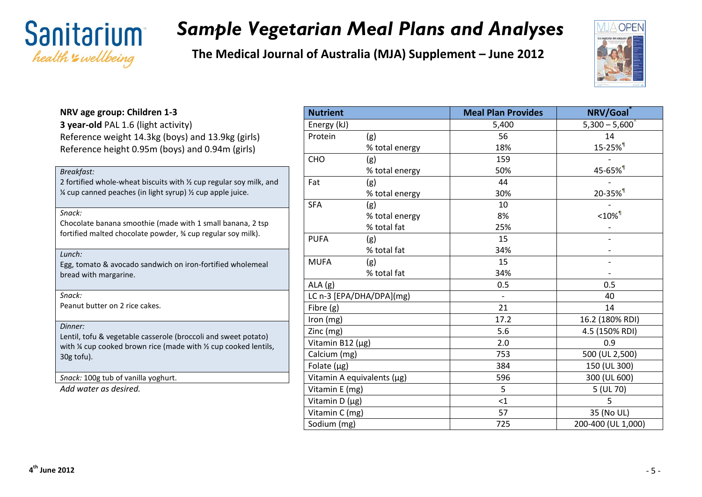

**The Medical Journal of Australia (MJA) Supplement – June 2012**



#### **NRV age group: Children 1-3 3 year-old** PAL 1.6 (light activity) Reference weight 14.3kg (boys) and 13.9kg (girls) Reference height 0.95m (boys) and 0.94m (girls) *Breakfast:* 2 fortified whole-wheat biscuits with ½ cup regular soy milk, and  $\frac{1}{4}$  cup canned peaches (in light syrup)  $\frac{1}{2}$  cup apple juice. *Snack:* Chocolate banana smoothie (made with 1 small banana, 2 tsp fortified malted chocolate powder, ¾ cup regular soy milk). *Lunch:* Egg, tomato & avocado sandwich on iron-fortified wholemeal bread with margarine. *Snack:* Peanut butter on 2 rice cakes. *Dinner:* Lentil, tofu & vegetable casserole (broccoli and sweet potato) with ¼ cup cooked brown rice (made with ¼ cup cooked lentils, 30g tofu). *Snack:* 100g tub of vanilla yoghurt. *Add water as desired.*

| <b>Nutrient</b>  |                            | <b>Meal Plan Provides</b> | NRV/Goal                |
|------------------|----------------------------|---------------------------|-------------------------|
| Energy (kJ)      |                            | 5,400                     | $5,300 - 5,600^{\circ}$ |
| Protein          | (g)                        | 56                        | 14                      |
|                  | % total energy             | 18%                       | 15-25% <sup>1</sup>     |
| CHO              | (g)                        | 159                       |                         |
|                  | % total energy             | 50%                       | 45-65% <sup>1</sup>     |
| Fat              | (g)                        | 44                        |                         |
|                  | % total energy             | 30%                       | 20-35% <sup>1</sup>     |
| <b>SFA</b>       | (g)                        | 10                        |                         |
|                  | % total energy             | 8%                        | $< 10\%$ <sup>1</sup>   |
|                  | % total fat                | 25%                       |                         |
| <b>PUFA</b>      | (g)                        | 15                        |                         |
|                  | % total fat                | 34%                       |                         |
| <b>MUFA</b>      | (g)                        | 15                        |                         |
|                  | % total fat                | 34%                       |                         |
| ALA(g)           |                            | 0.5                       | 0.5                     |
|                  | LC n-3 [EPA/DHA/DPA](mg)   | $\overline{\phantom{a}}$  | 40                      |
| Fibre (g)        |                            | 21                        | 14                      |
| Iron (mg)        |                            | 17.2                      | 16.2 (180% RDI)         |
| Zinc (mg)        |                            | 5.6                       | 4.5 (150% RDI)          |
| Vitamin B12 (µg) |                            | 2.0                       | 0.9                     |
| Calcium (mg)     |                            | 753                       | 500 (UL 2,500)          |
| Folate $(\mu g)$ |                            | 384                       | 150 (UL 300)            |
|                  | Vitamin A equivalents (µg) | 596                       | 300 (UL 600)            |
| Vitamin E (mg)   |                            | 5                         | 5 (UL 70)               |
| Vitamin D (µg)   |                            | $<$ 1                     | 5                       |
| Vitamin C (mg)   |                            | 57                        | 35 (No UL)              |
| Sodium (mg)      |                            | 725                       | 200-400 (UL 1,000)      |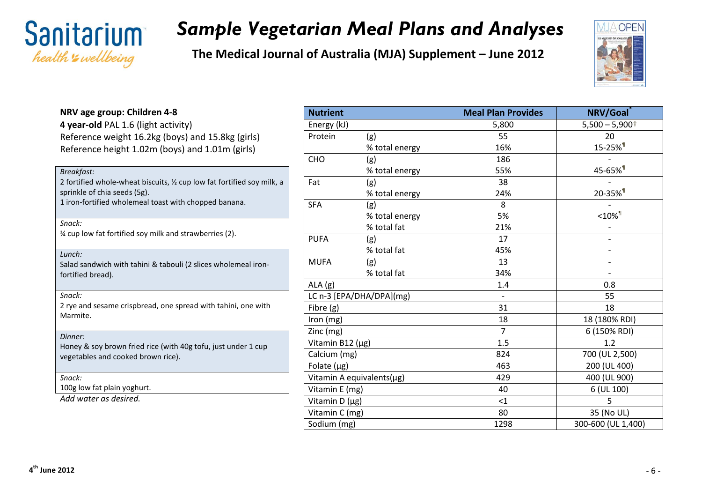



| NRV age group: Children 4-8                                                                             | N <sub>0</sub> |
|---------------------------------------------------------------------------------------------------------|----------------|
| 4 year-old PAL 1.6 (light activity)                                                                     | Er             |
| Reference weight 16.2kg (boys) and 15.8kg (girls)<br>Reference height 1.02m (boys) and 1.01m (girls)    | Pr             |
|                                                                                                         | CH             |
| Breakfast:                                                                                              |                |
| 2 fortified whole-wheat biscuits, 1/2 cup low fat fortified soy milk, a<br>sprinkle of chia seeds (5g). | Fa             |
| 1 iron-fortified wholemeal toast with chopped banana.                                                   | <b>SF</b>      |
| Snack:                                                                                                  |                |
| % cup low fat fortified soy milk and strawberries (2).                                                  | Ρl             |
| Lunch:                                                                                                  | M              |
| Salad sandwich with tahini & tabouli (2 slices wholemeal iron-<br>fortified bread).                     | AL             |
| Snack:                                                                                                  | LC             |
| 2 rye and sesame crispbread, one spread with tahini, one with<br>Marmite.                               | Fil            |
|                                                                                                         | Iro<br>Ziı     |
| Dinner:                                                                                                 | Vi             |
| Honey & soy brown fried rice (with 40g tofu, just under 1 cup                                           | Ca             |
| vegetables and cooked brown rice).                                                                      | Fc             |
| Snack:                                                                                                  | Vi             |
| 100g low fat plain yoghurt.                                                                             | Vi             |
| Add water as desired.                                                                                   | Vi             |

| <b>Nutrient</b>  |                           | <b>Meal Plan Provides</b> | NRV/Goal            |
|------------------|---------------------------|---------------------------|---------------------|
| Energy (kJ)      |                           | 5,800                     | $5,500 - 5,900+$    |
| Protein          | (g)                       | 55                        | 20                  |
|                  | % total energy            | 16%                       | 15-25% <sup>1</sup> |
| CHO              | (g)                       | 186                       |                     |
|                  | % total energy            | 55%                       | 45-65% <sup>1</sup> |
| Fat              | (g)                       | 38                        |                     |
|                  | % total energy            | 24%                       | 20-35% <sup>1</sup> |
| <b>SFA</b>       | (g)                       | 8                         |                     |
|                  | % total energy            | 5%                        | $<$ 10% $1$         |
|                  | % total fat               | 21%                       |                     |
| <b>PUFA</b>      | (g)                       | 17                        |                     |
|                  | % total fat               | 45%                       |                     |
| <b>MUFA</b>      | (g)                       | 13                        |                     |
|                  | % total fat               | 34%                       |                     |
| ALA(g)           |                           | 1.4                       | 0.8                 |
|                  | LC n-3 [EPA/DHA/DPA](mg)  |                           | 55                  |
| Fibre (g)        |                           | 31                        | 18                  |
| Iron (mg)        |                           | 18                        | 18 (180% RDI)       |
| Zinc (mg)        |                           | $\overline{7}$            | 6 (150% RDI)        |
| Vitamin B12 (µg) |                           | 1.5                       | 1.2                 |
| Calcium (mg)     |                           | 824                       | 700 (UL 2,500)      |
| Folate $(\mu g)$ |                           | 463                       | 200 (UL 400)        |
|                  | Vitamin A equivalents(µg) | 429                       | 400 (UL 900)        |
| Vitamin E (mg)   |                           | 40                        | 6 (UL 100)          |
| Vitamin D (µg)   |                           | $<$ 1                     | 5                   |
| Vitamin C (mg)   |                           | 80                        | 35 (No UL)          |
| Sodium (mg)      |                           | 1298                      | 300-600 (UL 1,400)  |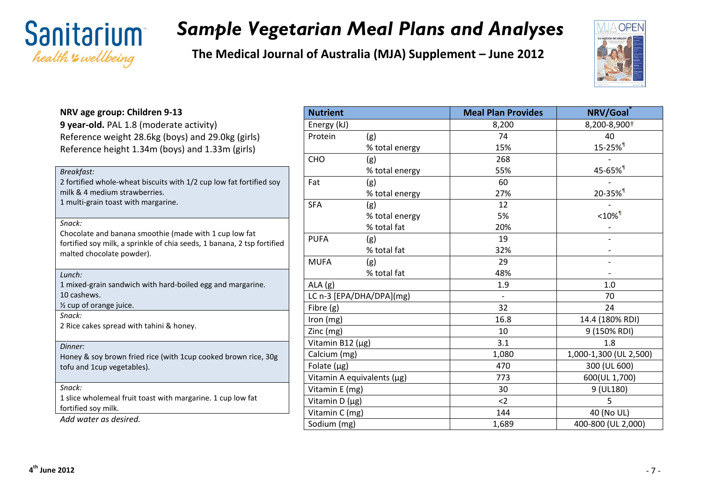



| NRV age group: Children 9-13                                                                         | <b>Nu</b>       |
|------------------------------------------------------------------------------------------------------|-----------------|
| 9 year-old. PAL 1.8 (moderate activity)                                                              | Ene             |
| Reference weight 28.6kg (boys) and 29.0kg (girls)                                                    | Pro             |
| Reference height 1.34m (boys) and 1.33m (girls)                                                      |                 |
|                                                                                                      | CH <sub>(</sub> |
| <b>Breakfast:</b>                                                                                    |                 |
| 2 fortified whole-wheat biscuits with 1/2 cup low fat fortified soy<br>milk & 4 medium strawberries. | Fat             |
| 1 multi-grain toast with margarine.                                                                  |                 |
|                                                                                                      | <b>SFA</b>      |
| Snack:                                                                                               |                 |
| Chocolate and banana smoothie (made with 1 cup low fat                                               | PUI             |
| fortified soy milk, a sprinkle of chia seeds, 1 banana, 2 tsp fortified<br>malted chocolate powder). |                 |
|                                                                                                      | MU              |
| Lunch:                                                                                               |                 |
| 1 mixed-grain sandwich with hard-boiled egg and margarine.                                           | <b>ALA</b>      |
| 10 cashews.                                                                                          | LC <sub>I</sub> |
| 1/2 cup of orange juice.<br>Snack:                                                                   | Fibr            |
| 2 Rice cakes spread with tahini & honey.                                                             | Iror            |
|                                                                                                      | Zino            |
| Dinner:                                                                                              | Vita            |
| Honey & soy brown fried rice (with 1cup cooked brown rice, 30g                                       | Cal             |
| tofu and 1cup vegetables).                                                                           | Fola            |
| Snack:                                                                                               | Vita            |
| 1 slice wholemeal fruit toast with margarine. 1 cup low fat                                          | Vita            |
| fortified soy milk.                                                                                  | Vita<br>Vita    |
| Add water as desired.                                                                                | $C_{\Omega}$    |

| <b>Nutrient</b>  |                            | <b>Meal Plan Provides</b> | NRV/Goal               |
|------------------|----------------------------|---------------------------|------------------------|
| Energy (kJ)      |                            | 8,200                     | 8,200-8,900+           |
| Protein          | (g)                        | 74                        | 40                     |
|                  | % total energy             | 15%                       | 15-25% <sup>1</sup>    |
| CHO              | (g)                        | 268                       |                        |
|                  | % total energy             | 55%                       | 45-65% <sup>1</sup>    |
| Fat              | (g)                        | 60                        |                        |
|                  | % total energy             | 27%                       | 20-35% <sup>1</sup>    |
| <b>SFA</b>       | (g)                        | 12                        |                        |
|                  | % total energy             | 5%                        | $<$ 10% $\mathbb{I}$   |
|                  | % total fat                | 20%                       |                        |
| <b>PUFA</b>      | (g)                        | 19                        |                        |
|                  | % total fat                | 32%                       |                        |
| <b>MUFA</b>      | (g)                        | 29                        |                        |
|                  | % total fat                | 48%                       |                        |
| ALA(g)           |                            | 1.9                       | 1.0                    |
|                  | LC n-3 [EPA/DHA/DPA](mg)   |                           | 70                     |
| Fibre (g)        |                            | 32                        | 24                     |
| Iron (mg)        |                            | 16.8                      | 14.4 (180% RDI)        |
| Zinc (mg)        |                            | 10                        | 9 (150% RDI)           |
| Vitamin B12 (µg) |                            | 3.1                       | 1.8                    |
| Calcium (mg)     |                            | 1,080                     | 1,000-1,300 (UL 2,500) |
| Folate $(\mu g)$ |                            | 470                       | 300 (UL 600)           |
|                  | Vitamin A equivalents (µg) | 773                       | 600(UL 1,700)          |
| Vitamin E (mg)   |                            | 30                        | 9 (UL180)              |
| Vitamin D (µg)   |                            | $2$                       | 5                      |
| Vitamin C (mg)   |                            | 144                       | 40 (No UL)             |
| Sodium (mg)      |                            | 1,689                     | 400-800 (UL 2,000)     |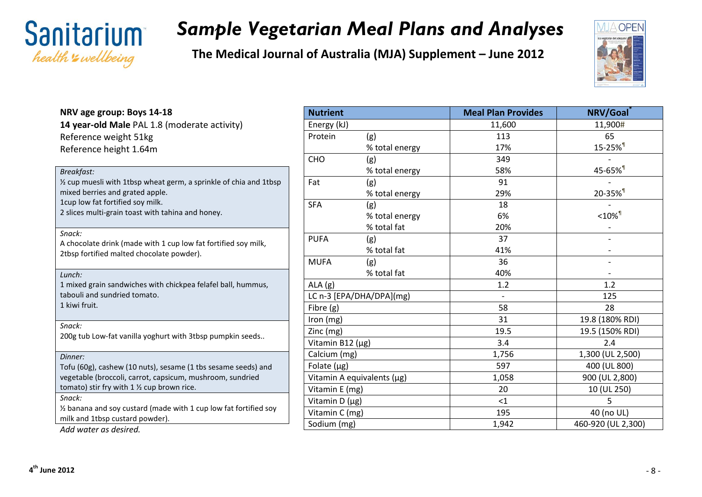



| NRV age group: Boys 14-18                                                                                                  | <b>Nut</b>   |
|----------------------------------------------------------------------------------------------------------------------------|--------------|
| 14 year-old Male PAL 1.8 (moderate activity)                                                                               | Ene          |
| Reference weight 51kg<br>Reference height 1.64m                                                                            | Pro          |
|                                                                                                                            | <b>CHC</b>   |
| Breakfast:                                                                                                                 |              |
| 1/2 cup muesli with 1tbsp wheat germ, a sprinkle of chia and 1tbsp<br>mixed berries and grated apple.                      | Fat          |
| 1cup low fat fortified soy milk.                                                                                           | <b>SFA</b>   |
| 2 slices multi-grain toast with tahina and honey.                                                                          |              |
| Snack:                                                                                                                     | <b>PUF</b>   |
| A chocolate drink (made with 1 cup low fat fortified soy milk,<br>2tbsp fortified malted chocolate powder).                |              |
|                                                                                                                            | MU           |
| Lunch:                                                                                                                     |              |
| 1 mixed grain sandwiches with chickpea felafel ball, hummus,<br>tabouli and sundried tomato.                               | ALA<br>LC r  |
| 1 kiwi fruit.                                                                                                              | Fibr         |
|                                                                                                                            | Iror         |
| Snack:<br>200g tub Low-fat vanilla yoghurt with 3tbsp pumpkin seeds                                                        | Zino         |
|                                                                                                                            | Vita         |
| Dinner:                                                                                                                    | Calo         |
| Tofu (60g), cashew (10 nuts), sesame (1 tbs sesame seeds) and<br>vegetable (broccoli, carrot, capsicum, mushroom, sundried | Fola<br>Vita |
| tomato) stir fry with 1 1/2 cup brown rice.                                                                                | Vita         |
| Snack:                                                                                                                     | Vita         |
| 1/2 banana and soy custard (made with 1 cup low fat fortified soy                                                          | Vita         |
| milk and 1tbsp custard powder).                                                                                            | Sod          |
| Add water as desired.                                                                                                      |              |

| <b>Nutrient</b>                                                   |                          | <b>Meal Plan Provides</b> | NRV/Goal              |
|-------------------------------------------------------------------|--------------------------|---------------------------|-----------------------|
| Energy (kJ)                                                       |                          | 11,600                    | 11,900#               |
| Protein                                                           | (g)                      | 113                       | 65                    |
|                                                                   | % total energy           | 17%                       | 15-25% <sup>1</sup>   |
| CHO                                                               | (g)                      | 349                       |                       |
|                                                                   | % total energy           | 58%                       | 45-65% <sup>1</sup>   |
| Fat                                                               | (g)                      | 91                        |                       |
|                                                                   | % total energy           | 29%                       | 20-35% <sup>1</sup>   |
| <b>SFA</b>                                                        | (g)                      | 18                        |                       |
|                                                                   | % total energy           | 6%                        | $< 10\%$ <sup>1</sup> |
|                                                                   | % total fat              | 20%                       |                       |
| <b>PUFA</b>                                                       | (g)                      | 37                        |                       |
|                                                                   | % total fat              | 41%                       |                       |
| <b>MUFA</b>                                                       | (g)                      | 36                        |                       |
|                                                                   | % total fat              | 40%                       |                       |
| ALA(g)                                                            |                          | 1.2                       | 1.2                   |
|                                                                   | LC n-3 [EPA/DHA/DPA](mg) | $\overline{\phantom{0}}$  | 125                   |
| Fibre (g)                                                         |                          | 58                        | 28                    |
| Iron (mg)                                                         |                          | 31                        | 19.8 (180% RDI)       |
| Zinc (mg)                                                         |                          | 19.5                      | 19.5 (150% RDI)       |
| Vitamin B12 (µg)                                                  |                          | 3.4                       | 2.4                   |
| Calcium (mg)                                                      |                          | 1,756                     | 1,300 (UL 2,500)      |
| Folate $(\mu g)$                                                  |                          | 597                       | 400 (UL 800)          |
| Vitamin A equivalents (µg)                                        |                          | 1,058                     | 900 (UL 2,800)        |
| Vitamin E (mg)<br>Vitamin D (µg)<br>Vitamin C (mg)<br>Sodium (mg) |                          | 20                        | 10 (UL 250)           |
|                                                                   |                          | <1                        | 5                     |
|                                                                   |                          | 195                       | 40 (no UL)            |
|                                                                   |                          | 1,942                     | 460-920 (UL 2,300)    |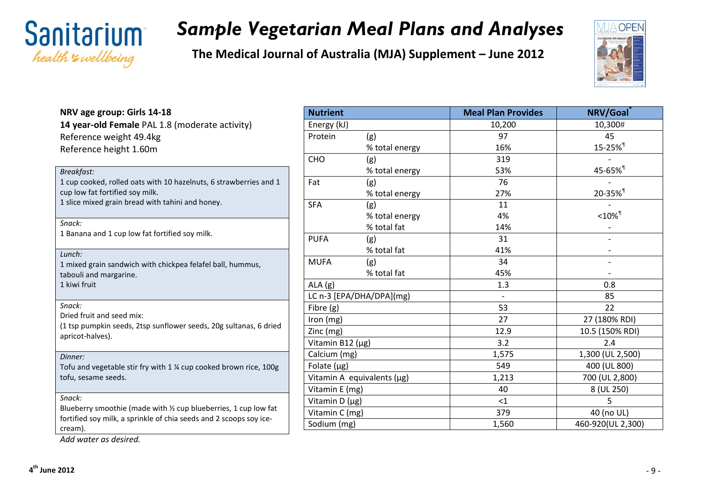

**The Medical Journal of Australia (MJA) Supplement – June 2012**



| NRV age group: Girls 14-18                                                                                                             | <b>Nutrier</b>       |
|----------------------------------------------------------------------------------------------------------------------------------------|----------------------|
| 14 year-old Female PAL 1.8 (moderate activity)                                                                                         | Energy               |
| Reference weight 49.4kg                                                                                                                | Protein              |
| Reference height 1.60m                                                                                                                 |                      |
|                                                                                                                                        | <b>CHO</b>           |
| <b>Breakfast:</b>                                                                                                                      | Fat                  |
| 1 cup cooked, rolled oats with 10 hazelnuts, 6 strawberries and 1<br>cup low fat fortified soy milk.                                   |                      |
| 1 slice mixed grain bread with tahini and honey.                                                                                       | <b>SFA</b>           |
|                                                                                                                                        |                      |
| Snack:                                                                                                                                 |                      |
| 1 Banana and 1 cup low fat fortified soy milk.                                                                                         | <b>PUFA</b>          |
| Lunch:                                                                                                                                 |                      |
| 1 mixed grain sandwich with chickpea felafel ball, hummus,                                                                             | <b>MUFA</b>          |
| tabouli and margarine.                                                                                                                 |                      |
| 1 kiwi fruit                                                                                                                           | ALA(g)               |
| Snack:                                                                                                                                 | LC n-3 [             |
| Dried fruit and seed mix:                                                                                                              | Fibre (g)            |
| (1 tsp pumpkin seeds, 2tsp sunflower seeds, 20g sultanas, 6 dried                                                                      | Iron (mg<br>Zinc (mg |
| apricot-halves).                                                                                                                       | Vitamin              |
| Dinner:                                                                                                                                | Calcium              |
| Tofu and vegetable stir fry with 1 % cup cooked brown rice, 100g                                                                       | Folate (             |
| tofu, sesame seeds.                                                                                                                    | Vitamin              |
|                                                                                                                                        | Vitamin              |
| Snack:                                                                                                                                 | Vitamin              |
| Blueberry smoothie (made with 1/2 cup blueberries, 1 cup low fat<br>fortified soy milk, a sprinkle of chia seeds and 2 scoops soy ice- | Vitamin              |
| cream).                                                                                                                                | Sodium               |
|                                                                                                                                        |                      |

| <b>Nutrient</b>            |                | <b>Meal Plan Provides</b> | NRV/Goal              |
|----------------------------|----------------|---------------------------|-----------------------|
| Energy (kJ)                |                | 10,200                    | 10,300#               |
| Protein                    | (g)            | 97                        | 45                    |
|                            | % total energy | 16%                       | 15-25% <sup>1</sup>   |
| CHO                        | (g)            | 319                       |                       |
|                            | % total energy | 53%                       | 45-65% <sup>1</sup>   |
| Fat                        | (g)            | 76                        |                       |
|                            | % total energy | 27%                       | 20-35% <sup>1</sup>   |
| <b>SFA</b>                 | (g)            | 11                        |                       |
|                            | % total energy | 4%                        | $< 10\%$ <sup>1</sup> |
|                            | % total fat    | 14%                       |                       |
| <b>PUFA</b>                | (g)            | 31                        |                       |
|                            | % total fat    | 41%                       |                       |
| <b>MUFA</b>                | (g)            | 34                        |                       |
|                            | % total fat    | 45%                       |                       |
| ALA(g)                     |                | 1.3                       | 0.8                   |
| LC n-3 [EPA/DHA/DPA](mg)   |                |                           | 85                    |
| Fibre (g)                  |                | 53                        | 22                    |
| Iron (mg)                  |                | 27                        | 27 (180% RDI)         |
| Zinc (mg)                  |                | 12.9                      | 10.5 (150% RDI)       |
| Vitamin B12 (µg)           |                | 3.2                       | 2.4                   |
| Calcium (mg)               |                | 1,575                     | 1,300 (UL 2,500)      |
| Folate $(\mu g)$           |                | 549                       | 400 (UL 800)          |
| Vitamin A equivalents (µg) |                | 1,213                     | 700 (UL 2,800)        |
| Vitamin E (mg)             |                | 40                        | 8 (UL 250)            |
| Vitamin D (µg)             |                | <1                        | 5                     |
| Vitamin C (mg)             |                | 379                       | 40 (no UL)            |
| Sodium (mg)                |                | 1,560                     | 460-920(UL 2,300)     |

*Add water as desired.*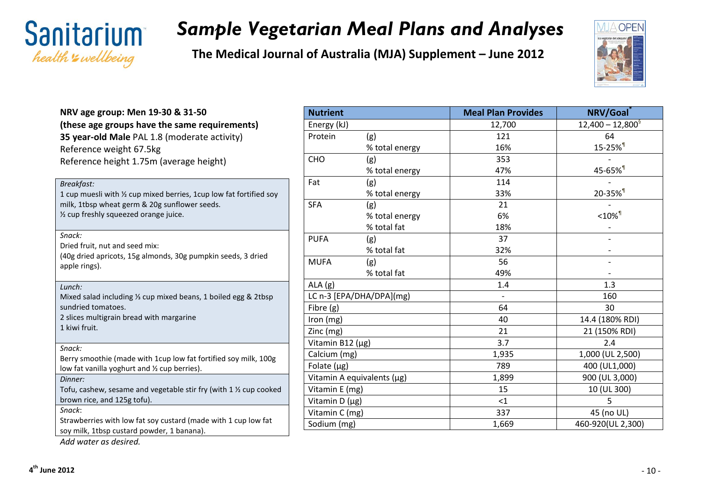

**The Medical Journal of Australia (MJA) Supplement – June 2012**



| NRV age group: Men 19-30 & 31-50                                                                             | <b>Nutrient</b>     |             |
|--------------------------------------------------------------------------------------------------------------|---------------------|-------------|
| (these age groups have the same requirements)                                                                | Energy (kJ)         |             |
| 35 year-old Male PAL 1.8 (moderate activity)<br>Reference weight 67.5kg                                      | Protein             | (g)<br>% to |
| Reference height 1.75m (average height)                                                                      | <b>CHO</b>          | (g)<br>% to |
| <b>Breakfast:</b><br>1 cup muesli with 1/2 cup mixed berries, 1 cup low fat fortified soy                    | Fat                 | (g)<br>% to |
| milk, 1tbsp wheat germ & 20g sunflower seeds.<br>1/2 cup freshly squeezed orange juice.                      | <b>SFA</b>          | (g)<br>% to |
|                                                                                                              |                     | % to        |
| Snack:<br>Dried fruit, nut and seed mix:                                                                     | <b>PUFA</b>         | (g)<br>% to |
| (40g dried apricots, 15g almonds, 30g pumpkin seeds, 3 dried<br>apple rings).                                | <b>MUFA</b>         | (g)<br>% to |
| Lunch:                                                                                                       | ALA(g)              |             |
| Mixed salad including 1/3 cup mixed beans, 1 boiled egg & 2tbsp                                              | LC n-3 [EPA/DHA/DP  |             |
| sundried tomatoes.                                                                                           | Fibre (g)           |             |
| 2 slices multigrain bread with margarine                                                                     | Iron (mg)           |             |
| 1 kiwi fruit.                                                                                                | Zinc (mg)           |             |
| Snack:                                                                                                       | Vitamin B12 (µg)    |             |
| Berry smoothie (made with 1cup low fat fortified soy milk, 100g                                              | Calcium (mg)        |             |
| low fat vanilla yoghurt and 1/2 cup berries).                                                                | Folate $(\mu g)$    |             |
| Dinner:                                                                                                      | Vitamin A equivalen |             |
| Tofu, cashew, sesame and vegetable stir fry (with 1 1/2 cup cooked                                           | Vitamin E (mg)      |             |
| brown rice, and 125g tofu).                                                                                  | Vitamin $D(\mu g)$  |             |
| Snack:                                                                                                       | Vitamin C (mg)      |             |
| Strawberries with low fat soy custard (made with 1 cup low fat<br>soy milk, 1tbsp custard powder, 1 banana). | Sodium (mg)         |             |
| Add water as desired.                                                                                        |                     |             |

| <b>Nutrient</b>  |                            | <b>Meal Plan Provides</b> | NRV/Goal              |
|------------------|----------------------------|---------------------------|-----------------------|
| Energy (kJ)      |                            | 12,700                    | $12,400 - 12,800^9$   |
| Protein          | (g)                        | 121                       | 64                    |
|                  | % total energy             | 16%                       | 15-25% <sup>1</sup>   |
| CHO              | (g)                        | 353                       |                       |
|                  | % total energy             | 47%                       | 45-65% <sup>1</sup>   |
| Fat              | (g)                        | 114                       |                       |
|                  | % total energy             | 33%                       | 20-35% <sup>1</sup>   |
| <b>SFA</b>       | (g)                        | 21                        |                       |
|                  | % total energy             | 6%                        | $< 10\%$ <sup>1</sup> |
|                  | % total fat                | 18%                       |                       |
| <b>PUFA</b>      | (g)                        | 37                        |                       |
|                  | % total fat                | 32%                       |                       |
| <b>MUFA</b>      | (g)                        | 56                        |                       |
|                  | % total fat                | 49%                       |                       |
| ALA (g)          |                            | 1.4                       | 1.3                   |
|                  | LC n-3 [EPA/DHA/DPA](mg)   | $\overline{\phantom{a}}$  | 160                   |
| Fibre (g)        |                            | 64                        | 30                    |
| Iron (mg)        |                            | 40                        | 14.4 (180% RDI)       |
| Zinc (mg)        |                            | 21                        | 21 (150% RDI)         |
| Vitamin B12 (µg) |                            | 3.7                       | 2.4                   |
| Calcium (mg)     |                            | 1,935                     | 1,000 (UL 2,500)      |
| Folate (µg)      |                            | 789                       | 400 (UL1,000)         |
|                  | Vitamin A equivalents (µg) | 1,899                     | 900 (UL 3,000)        |
| Vitamin E (mg)   |                            | 15                        | 10 (UL 300)           |
| Vitamin D (µg)   |                            | $<$ 1                     | 5                     |
| Vitamin C (mg)   |                            | 337                       | 45 (no UL)            |
| Sodium (mg)      |                            | 1,669                     | 460-920(UL 2,300)     |

**4th June 2012** - 10 -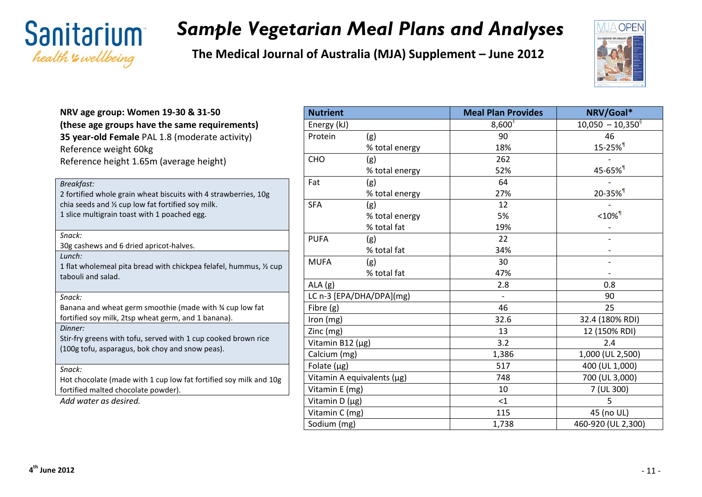



| NRV age group: Women 19-30 & 31-50<br>(these age groups have the same requirements)<br>35 year-old Female PAL 1.8 (moderate activity)<br>Reference weight 60kg<br>Reference height 1.65m (average height)                                                |
|----------------------------------------------------------------------------------------------------------------------------------------------------------------------------------------------------------------------------------------------------------|
| Breakfast:<br>2 fortified whole grain wheat biscuits with 4 strawberries, 10g<br>chia seeds and 1/2 cup low fat fortified soy milk.<br>1 slice multigrain toast with 1 poached egg.                                                                      |
| Snack:<br>30g cashews and 6 dried apricot-halves.<br>Lunch:<br>1 flat wholemeal pita bread with chickpea felafel, hummus, $\frac{1}{2}$ cup<br>tabouli and salad.                                                                                        |
| Snack:<br>Banana and wheat germ smoothie (made with % cup low fat<br>fortified soy milk, 2tsp wheat germ, and 1 banana).<br>Dinner:<br>Stir-fry greens with tofu, served with 1 cup cooked brown rice<br>(100g tofu, asparagus, bok choy and snow peas). |
| Snack:<br>Hot chocolate (made with 1 cup low fat fortified soy milk and 10g<br>fortified malted chocolate powder).<br>Add water as desired.                                                                                                              |

| <b>Nutrient</b>  |                            | <b>Meal Plan Provides</b> | NRV/Goal*             |
|------------------|----------------------------|---------------------------|-----------------------|
| Energy (kJ)      |                            | $8,600^{\ddagger}$        | $10,050 - 10,350^9$   |
| Protein          | (g)                        | 90                        | 46                    |
|                  | % total energy             | 18%                       | 15-25% <sup>1</sup>   |
| CHO              | (g)                        | 262                       |                       |
|                  | % total energy             | 52%                       | 45-65% <sup>1</sup>   |
| Fat              | (g)                        | 64                        |                       |
|                  | % total energy             | 27%                       | 20-35% <sup>1</sup>   |
| <b>SFA</b>       | (g)                        | 12                        |                       |
|                  | % total energy             | 5%                        | $< 10\%$ <sup>1</sup> |
|                  | % total fat                | 19%                       |                       |
| <b>PUFA</b>      | (g)                        | 22                        |                       |
|                  | % total fat                | 34%                       |                       |
| <b>MUFA</b>      | (g)                        | 30                        |                       |
|                  | % total fat                | 47%                       |                       |
| ALA(g)           |                            | 2.8                       | 0.8                   |
|                  | LC n-3 [EPA/DHA/DPA](mg)   | $\overline{a}$            | 90                    |
| Fibre (g)        |                            | 46                        | 25                    |
| Iron (mg)        |                            | 32.6                      | 32.4 (180% RDI)       |
| Zinc (mg)        |                            | 13                        | 12 (150% RDI)         |
| Vitamin B12 (µg) |                            | 3.2                       | 2.4                   |
| Calcium (mg)     |                            | 1,386                     | 1,000 (UL 2,500)      |
| Folate $(\mu g)$ |                            | 517                       | 400 (UL 1,000)        |
|                  | Vitamin A equivalents (µg) | 748                       | 700 (UL 3,000)        |
| Vitamin E (mg)   |                            | 10                        | 7 (UL 300)            |
| Vitamin D (µg)   |                            | <1                        | 5                     |
| Vitamin C (mg)   |                            | 115                       | 45 (no UL)            |
| Sodium (mg)      |                            | 1,738                     | 460-920 (UL 2,300)    |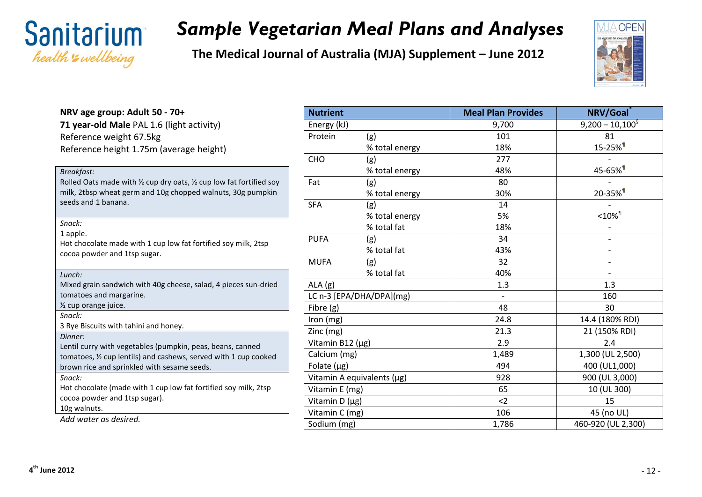

**The Medical Journal of Australia (MJA) Supplement – June 2012**



#### **NRV age group: Adult 50 - 70+ 71 year-old Male** PAL 1.6 (light activity) Reference weight 67.5kg Reference height 1.75m (average height)

| Breakfast:<br>Rolled Oats made with $\frac{1}{2}$ cup dry oats, $\frac{1}{2}$ cup low fat fortified soy<br>milk, 2tbsp wheat germ and 10g chopped walnuts, 30g pumpkin<br>seeds and 1 banana. |
|-----------------------------------------------------------------------------------------------------------------------------------------------------------------------------------------------|
| Snack:                                                                                                                                                                                        |
| 1 apple.                                                                                                                                                                                      |
| Hot chocolate made with 1 cup low fat fortified soy milk, 2tsp                                                                                                                                |
| cocoa powder and 1tsp sugar.                                                                                                                                                                  |
|                                                                                                                                                                                               |
| Lunch:                                                                                                                                                                                        |
| Mixed grain sandwich with 40g cheese, salad, 4 pieces sun-dried                                                                                                                               |
| tomatoes and margarine.                                                                                                                                                                       |
| 1/2 cup orange juice.                                                                                                                                                                         |
| Snack:                                                                                                                                                                                        |
| 3 Rye Biscuits with tahini and honey.                                                                                                                                                         |
| Dinner:                                                                                                                                                                                       |
| Lentil curry with vegetables (pumpkin, peas, beans, canned                                                                                                                                    |
| tomatoes, 1/2 cup lentils) and cashews, served with 1 cup cooked                                                                                                                              |
| brown rice and sprinkled with sesame seeds.                                                                                                                                                   |
| Snack:                                                                                                                                                                                        |
| Hot chocolate (made with 1 cup low fat fortified soy milk, 2tsp                                                                                                                               |
| cocoa powder and 1tsp sugar).                                                                                                                                                                 |
| 10g walnuts.                                                                                                                                                                                  |
| Add water as desired.                                                                                                                                                                         |

| <b>Nutrient</b>  |                            | <b>Meal Plan Provides</b> | NRV/Goal             |
|------------------|----------------------------|---------------------------|----------------------|
| Energy (kJ)      |                            | 9,700                     | $9,200 - 10,100^9$   |
| Protein          | (g)                        | 101                       | 81                   |
|                  | % total energy             | 18%                       | 15-25% <sup>1</sup>  |
| CHO              | (g)                        | 277                       |                      |
|                  | % total energy             | 48%                       | 45-65% <sup>1</sup>  |
| Fat              | (g)                        | 80                        |                      |
|                  | % total energy             | 30%                       | 20-35% <sup>1</sup>  |
| <b>SFA</b>       | (g)                        | 14                        |                      |
|                  | % total energy             | 5%                        | $<$ 10% $\mathbb{I}$ |
|                  | % total fat                | 18%                       |                      |
| <b>PUFA</b>      | (g)                        | 34                        |                      |
|                  | % total fat                | 43%                       |                      |
| <b>MUFA</b>      | (g)                        | 32                        |                      |
|                  | % total fat                | 40%                       |                      |
| ALA(g)           |                            | 1.3                       | 1.3                  |
|                  | LC n-3 [EPA/DHA/DPA](mg)   |                           | 160                  |
| Fibre (g)        |                            | 48                        | 30                   |
| Iron (mg)        |                            | 24.8                      | 14.4 (180% RDI)      |
| Zinc (mg)        |                            | 21.3                      | 21 (150% RDI)        |
| Vitamin B12 (µg) |                            | 2.9                       | 2.4                  |
| Calcium (mg)     |                            | 1,489                     | 1,300 (UL 2,500)     |
| Folate $(\mu g)$ |                            | 494                       | 400 (UL1,000)        |
|                  | Vitamin A equivalents (µg) | 928                       | 900 (UL 3,000)       |
| Vitamin E (mg)   |                            | 65                        | 10 (UL 300)          |
| Vitamin D (µg)   |                            | $2$                       | 15                   |
| Vitamin C (mg)   |                            | 106                       | 45 (no UL)           |
| Sodium (mg)      |                            | 1,786                     | 460-920 (UL 2,300)   |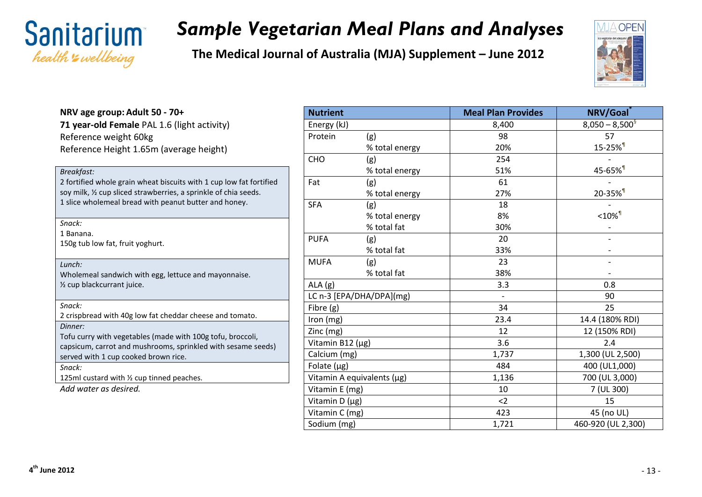

**The Medical Journal of Australia (MJA) Supplement – June 2012**



#### **NRV age group: Adult 50 - 70+ 71 year-old Female** PAL 1.6 (light activity) Reference weight 60kg Reference Height 1.65m (average height)

| Breakfast:                                                          |
|---------------------------------------------------------------------|
| 2 fortified whole grain wheat biscuits with 1 cup low fat fortified |
| soy milk, % cup sliced strawberries, a sprinkle of chia seeds.      |
| 1 slice wholemeal bread with peanut butter and honey.               |
|                                                                     |

| snac<br>к |
|-----------|
|-----------|

1 Banana.

150g tub low fat, fruit yoghurt.

#### *Lunch:*

Wholemeal sandwich with egg, lettuce and mayonnaise. ½ cup blackcurrant juice.

2 crispbread with 40g low fat cheddar cheese and tomato. *Dinner:* Tofu curry with vegetables (made with 100g tofu, broccoli, capsicum, carrot and mushrooms, sprinkled with sesame seeds) served with 1 cup cooked brown rice. *Snack:* 125ml custard with  $\frac{1}{2}$  cup tinned peaches.

*Add water as desired.*

| <b>Nutrient</b>  |                            | <b>Meal Plan Provides</b> | NRV/Goal              |
|------------------|----------------------------|---------------------------|-----------------------|
| Energy (kJ)      |                            | 8,400                     | $8,050 - 8,500^9$     |
| Protein          | (g)                        | 98                        | 57                    |
|                  | % total energy             | 20%                       | 15-25% <sup>1</sup>   |
| CHO              | (g)                        | 254                       |                       |
|                  | % total energy             | 51%                       | 45-65% <sup>1</sup>   |
| Fat              | (g)                        | 61                        |                       |
|                  | % total energy             | 27%                       | 20-35% <sup>1</sup>   |
| <b>SFA</b>       | (g)                        | 18                        |                       |
|                  | % total energy             | 8%                        | $< 10\%$ <sup>1</sup> |
|                  | % total fat                | 30%                       |                       |
| <b>PUFA</b>      | (g)                        | 20                        |                       |
|                  | % total fat                | 33%                       |                       |
| <b>MUFA</b>      | (g)                        | 23                        |                       |
|                  | % total fat                | 38%                       |                       |
| ALA(g)           |                            | 3.3                       | 0.8                   |
|                  | LC n-3 [EPA/DHA/DPA](mg)   |                           | 90                    |
| Fibre (g)        |                            | 34                        | 25                    |
| Iron (mg)        |                            | 23.4                      | 14.4 (180% RDI)       |
| Zinc (mg)        |                            | 12                        | 12 (150% RDI)         |
| Vitamin B12 (µg) |                            | 3.6                       | 2.4                   |
| Calcium (mg)     |                            | 1,737                     | 1,300 (UL 2,500)      |
| Folate $(\mu g)$ |                            | 484                       | 400 (UL1,000)         |
|                  | Vitamin A equivalents (µg) | 1,136                     | 700 (UL 3,000)        |
| Vitamin E (mg)   |                            | 10                        | 7 (UL 300)            |
| Vitamin D (µg)   |                            | $2$                       | 15                    |
| Vitamin C (mg)   |                            | 423                       | 45 (no UL)            |
| Sodium (mg)      |                            | 1,721                     | 460-920 (UL 2,300)    |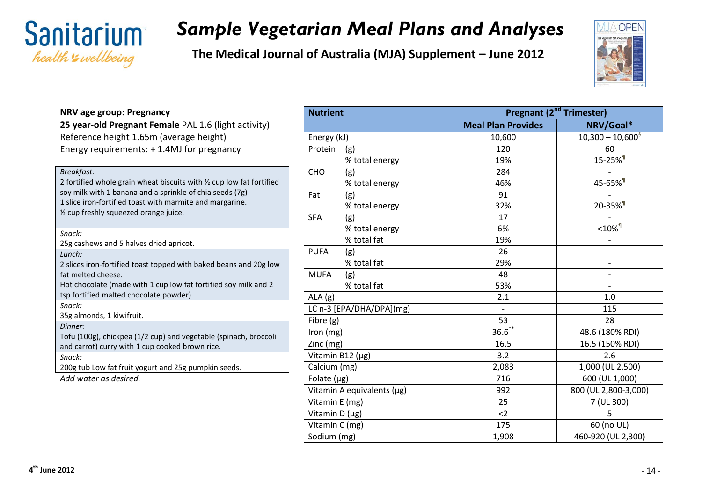

**The Medical Journal of Australia (MJA) Supplement – June 2012**



#### **NRV age group: Pregnancy 25 year-old Pregnant Female** PAL 1.6 (light activity) Reference height 1.65m (average height) Energy requirements: + 1.4MJ for pregnancy *Breakfast:* 2 fortified whole grain wheat biscuits with ½ cup low fat fortified soy milk with 1 banana and a sprinkle of chia seeds (7g) 1 slice iron-fortified toast with marmite and margarine. ½ cup freshly squeezed orange juice. *Snack:* 25g cashews and 5 halves dried apricot. *Lunch:* 2 slices iron-fortified toast topped with baked beans and 20g low fat melted cheese. Hot chocolate (made with 1 cup low fat fortified soy milk and 2 tsp fortified malted chocolate powder). *Snack:* 35g almonds, 1 kiwifruit. *Dinner:* Tofu (100g), chickpea (1/2 cup) and vegetable (spinach, broccoli and carrot) curry with 1 cup cooked brown rice. *Snack:* 200g tub Low fat fruit yogurt and 25g pumpkin seeds. *Add water as desired.*

| <b>Nutrient</b>  |                            | <b>Pregnant (2<sup>nd</sup> Trimester)</b> |                                   |  |
|------------------|----------------------------|--------------------------------------------|-----------------------------------|--|
|                  |                            | <b>Meal Plan Provides</b>                  | NRV/Goal*                         |  |
| Energy (kJ)      |                            | 10,600                                     | $10,300 - 10,600^9$               |  |
| Protein          | (g)                        | 120                                        | 60                                |  |
|                  | % total energy             | 19%                                        | 15-25% <sup>1</sup>               |  |
| CHO              | (g)                        | 284                                        |                                   |  |
|                  | % total energy             | 46%                                        | 45-65% <sup>1</sup>               |  |
| Fat              | (g)                        | 91                                         |                                   |  |
|                  | % total energy             | 32%                                        | 20-35% <sup>1</sup>               |  |
| <b>SFA</b>       | (g)                        | 17                                         |                                   |  |
|                  | % total energy             | 6%                                         | $<$ 10% $^{\rm{\textregistered}}$ |  |
|                  | % total fat                | 19%                                        |                                   |  |
| <b>PUFA</b>      | (g)                        | 26                                         |                                   |  |
|                  | % total fat                | 29%                                        |                                   |  |
| <b>MUFA</b>      | (g)                        | 48                                         |                                   |  |
|                  | % total fat                | 53%                                        |                                   |  |
| ALA(g)           |                            | 2.1                                        | 1.0                               |  |
|                  | LC n-3 [EPA/DHA/DPA](mg)   |                                            | 115                               |  |
| Fibre (g)        |                            | 53                                         | 28                                |  |
| Iron (mg)        |                            | $36.\overline{6}^*$                        | 48.6 (180% RDI)                   |  |
| Zinc (mg)        |                            | 16.5                                       | 16.5 (150% RDI)                   |  |
| Vitamin B12 (µg) |                            | 3.2                                        | 2.6                               |  |
| Calcium (mg)     |                            | 2,083                                      | 1,000 (UL 2,500)                  |  |
| Folate $(\mu g)$ |                            | 716                                        | 600 (UL 1,000)                    |  |
|                  | Vitamin A equivalents (µg) | 992                                        | 800 (UL 2,800-3,000)              |  |
| Vitamin E (mg)   |                            | 25                                         | 7 (UL 300)                        |  |
| Vitamin D (µg)   |                            | $2$                                        | 5                                 |  |
| Vitamin C (mg)   |                            | 175                                        | 60 (no UL)                        |  |
| Sodium (mg)      |                            | 1,908                                      | 460-920 (UL 2,300)                |  |